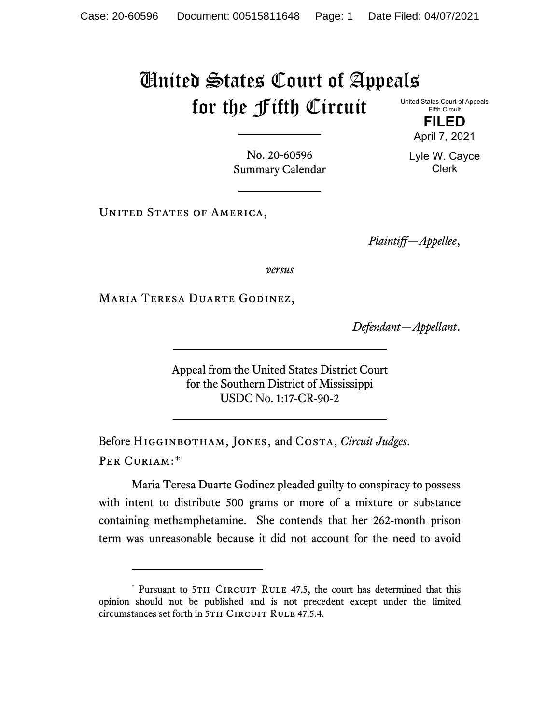## United States Court of Appeals for the Fifth Circuit

United States Court of Appeals Fifth Circuit

**FILED** April 7, 2021

Lyle W. Cayce Clerk

No. 20-60596 Summary Calendar

UNITED STATES OF AMERICA,

*Plaintiff—Appellee*,

*versus*

Maria Teresa Duarte Godinez,

*Defendant—Appellant*.

Appeal from the United States District Court for the Southern District of Mississippi USDC No. 1:17-CR-90-2

Before Higginbotham, Jones, and Costa, *Circuit Judges*. Per Curiam:[\\*](#page-0-0)

Maria Teresa Duarte Godinez pleaded guilty to conspiracy to possess with intent to distribute 500 grams or more of a mixture or substance containing methamphetamine. She contends that her 262-month prison term was unreasonable because it did not account for the need to avoid

<span id="page-0-0"></span><sup>\*</sup> Pursuant to 5TH CIRCUIT RULE 47.5, the court has determined that this opinion should not be published and is not precedent except under the limited circumstances set forth in 5TH CIRCUIT RULE 47.5.4.